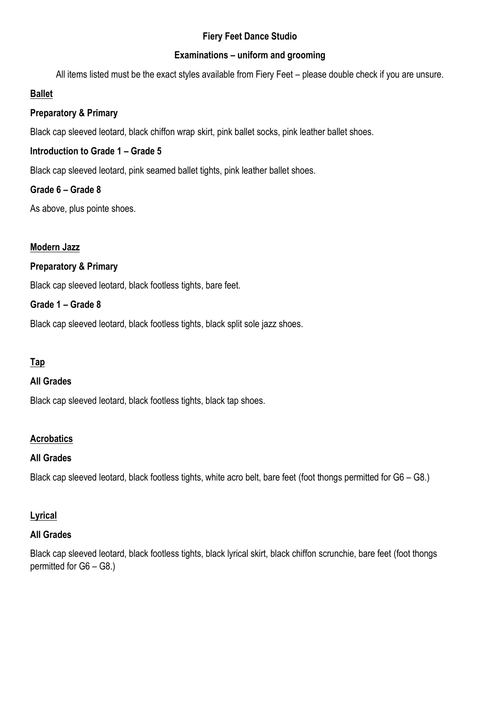## **Fiery Feet Dance Studio**

## **Examinations – uniform and grooming**

All items listed must be the exact styles available from Fiery Feet – please double check if you are unsure.

## **Ballet**

## **Preparatory & Primary**

Black cap sleeved leotard, black chiffon wrap skirt, pink ballet socks, pink leather ballet shoes.

## **Introduction to Grade 1 – Grade 5**

Black cap sleeved leotard, pink seamed ballet tights, pink leather ballet shoes.

## **Grade 6 – Grade 8**

As above, plus pointe shoes.

## **Modern Jazz**

## **Preparatory & Primary**

Black cap sleeved leotard, black footless tights, bare feet.

## **Grade 1 – Grade 8**

Black cap sleeved leotard, black footless tights, black split sole jazz shoes.

## **Tap**

#### **All Grades**

Black cap sleeved leotard, black footless tights, black tap shoes.

## **Acrobatics**

#### **All Grades**

Black cap sleeved leotard, black footless tights, white acro belt, bare feet (foot thongs permitted for G6 – G8.)

#### **Lyrical**

#### **All Grades**

Black cap sleeved leotard, black footless tights, black lyrical skirt, black chiffon scrunchie, bare feet (foot thongs permitted for G6 – G8.)